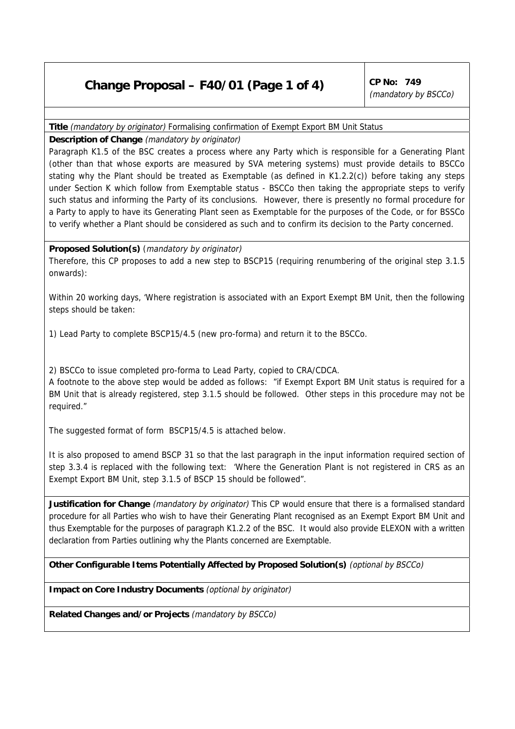## **Change Proposal – F40/01 (Page 1 of 4)** CP No: 749

(mandatory by BSCCo)

## **Title** (mandatory by originator) Formalising confirmation of Exempt Export BM Unit Status

**Description of Change** (mandatory by originator)

Paragraph K1.5 of the BSC creates a process where any Party which is responsible for a Generating Plant (other than that whose exports are measured by SVA metering systems) must provide details to BSCCo stating why the Plant should be treated as Exemptable (as defined in K1.2.2(c)) before taking any steps under Section K which follow from Exemptable status - BSCCo then taking the appropriate steps to verify such status and informing the Party of its conclusions. However, there is presently no formal procedure for a Party to apply to have its Generating Plant seen as Exemptable for the purposes of the Code, or for BSSCo to verify whether a Plant should be considered as such and to confirm its decision to the Party concerned.

## **Proposed Solution(s)** (mandatory by originator)

Therefore, this CP proposes to add a new step to BSCP15 (requiring renumbering of the original step 3.1.5 onwards):

Within 20 working days, 'Where registration is associated with an Export Exempt BM Unit, then the following steps should be taken:

1) Lead Party to complete BSCP15/4.5 (new pro-forma) and return it to the BSCCo.

2) BSCCo to issue completed pro-forma to Lead Party, copied to CRA/CDCA.

A footnote to the above step would be added as follows: "if Exempt Export BM Unit status is required for a BM Unit that is already registered, step 3.1.5 should be followed. Other steps in this procedure may not be required."

The suggested format of form BSCP15/4.5 is attached below.

It is also proposed to amend BSCP 31 so that the last paragraph in the input information required section of step 3.3.4 is replaced with the following text: 'Where the Generation Plant is not registered in CRS as an Exempt Export BM Unit, step 3.1.5 of BSCP 15 should be followed".

**Justification for Change** (mandatory by originator) This CP would ensure that there is a formalised standard procedure for all Parties who wish to have their Generating Plant recognised as an Exempt Export BM Unit and thus Exemptable for the purposes of paragraph K1.2.2 of the BSC. It would also provide ELEXON with a written declaration from Parties outlining why the Plants concerned are Exemptable.

**Other Configurable Items Potentially Affected by Proposed Solution(s)** (optional by BSCCo)

**Impact on Core Industry Documents** (optional by originator)

**Related Changes and/or Projects** (mandatory by BSCCo)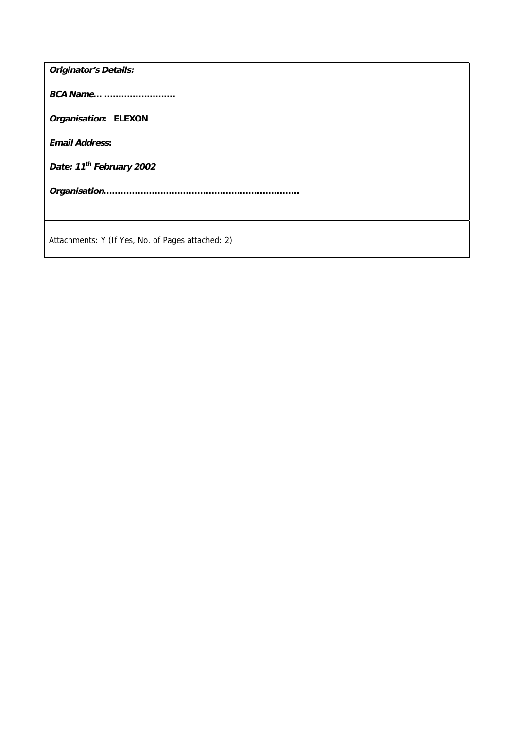| <b>Originator's Details:</b>                      |
|---------------------------------------------------|
| <b>BCA Name</b>                                   |
| Organisation: ELEXON                              |
| <b>Email Address:</b>                             |
| Date: 11 <sup>th</sup> February 2002              |
|                                                   |
|                                                   |
| Attachments: Y (If Yes, No. of Pages attached: 2) |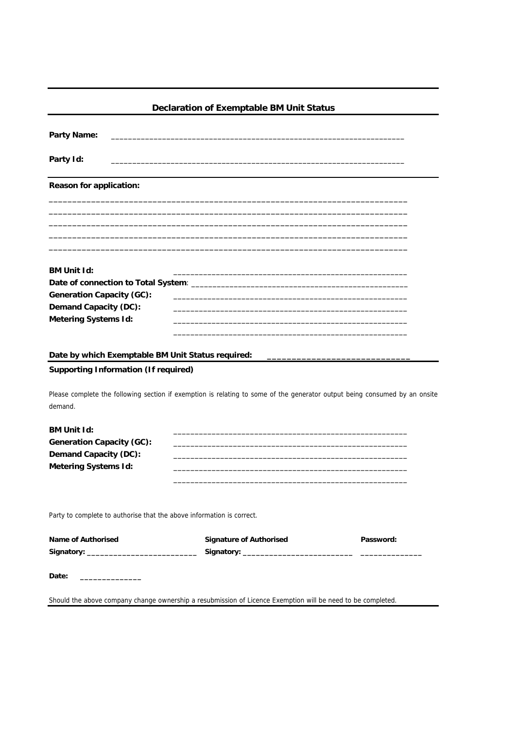| Declaration of Exemptable BM Unit Status                              |                                                                                                                            |           |  |  |
|-----------------------------------------------------------------------|----------------------------------------------------------------------------------------------------------------------------|-----------|--|--|
| Party Name:                                                           |                                                                                                                            |           |  |  |
| Party Id:                                                             |                                                                                                                            |           |  |  |
| Reason for application:                                               |                                                                                                                            |           |  |  |
|                                                                       |                                                                                                                            |           |  |  |
|                                                                       |                                                                                                                            |           |  |  |
| <b>BM Unit Id:</b>                                                    |                                                                                                                            |           |  |  |
| Generation Capacity (GC):                                             |                                                                                                                            |           |  |  |
| Demand Capacity (DC):                                                 |                                                                                                                            |           |  |  |
| <b>Metering Systems Id:</b>                                           |                                                                                                                            |           |  |  |
| Date by which Exemptable BM Unit Status required:                     |                                                                                                                            |           |  |  |
| Supporting Information (If required)                                  |                                                                                                                            |           |  |  |
| demand.                                                               | Please complete the following section if exemption is relating to some of the generator output being consumed by an onsite |           |  |  |
| <b>BM Unit Id:</b>                                                    |                                                                                                                            |           |  |  |
| Generation Capacity (GC):                                             |                                                                                                                            |           |  |  |
| Demand Capacity (DC):                                                 |                                                                                                                            |           |  |  |
| <b>Metering Systems Id:</b>                                           |                                                                                                                            |           |  |  |
|                                                                       |                                                                                                                            |           |  |  |
| Party to complete to authorise that the above information is correct. |                                                                                                                            |           |  |  |
| Name of Authorised                                                    | <b>Signature of Authorised</b>                                                                                             | Password: |  |  |
|                                                                       |                                                                                                                            |           |  |  |
| Date:                                                                 |                                                                                                                            |           |  |  |
|                                                                       | Should the above company change ownership a resubmission of Licence Exemption will be need to be completed.                |           |  |  |
|                                                                       |                                                                                                                            |           |  |  |